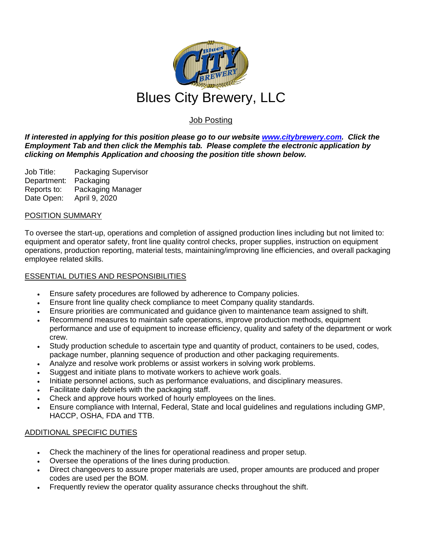

# Job Posting

*If interested in applying for this position please go to our website [www.citybrewery.com.](http://www.citybrewery.com/) Click the Employment Tab and then click the Memphis tab. Please complete the electronic application by clicking on Memphis Application and choosing the position title shown below.*

Job Title: Packaging Supervisor Department: Packaging Reports to: Packaging Manager Date Open: April 9, 2020

### POSITION SUMMARY

To oversee the start-up, operations and completion of assigned production lines including but not limited to: equipment and operator safety, front line quality control checks, proper supplies, instruction on equipment operations, production reporting, material tests, maintaining/improving line efficiencies, and overall packaging employee related skills.

## ESSENTIAL DUTIES AND RESPONSIBILITIES

- Ensure safety procedures are followed by adherence to Company policies.
- Ensure front line quality check compliance to meet Company quality standards.
- Ensure priorities are communicated and guidance given to maintenance team assigned to shift.
- Recommend measures to maintain safe operations, improve production methods, equipment performance and use of equipment to increase efficiency, quality and safety of the department or work crew.
- Study production schedule to ascertain type and quantity of product, containers to be used, codes, package number, planning sequence of production and other packaging requirements.
- Analyze and resolve work problems or assist workers in solving work problems.
- Suggest and initiate plans to motivate workers to achieve work goals.
- Initiate personnel actions, such as performance evaluations, and disciplinary measures.
- Facilitate daily debriefs with the packaging staff.
- Check and approve hours worked of hourly employees on the lines.
- Ensure compliance with Internal, Federal, State and local guidelines and regulations including GMP, HACCP, OSHA, FDA and TTB.

### ADDITIONAL SPECIFIC DUTIES

- Check the machinery of the lines for operational readiness and proper setup.
- Oversee the operations of the lines during production.
- Direct changeovers to assure proper materials are used, proper amounts are produced and proper codes are used per the BOM.
- Frequently review the operator quality assurance checks throughout the shift.